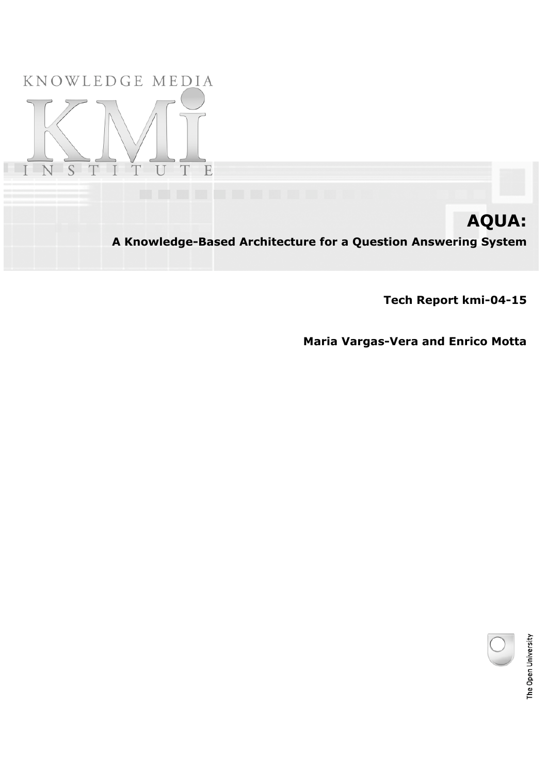# KNOWLEDGE MEDIA



**AQUA: A Knowledge-Based Architecture for a Question Answering System**

**Tech Report kmi-04-15**

**Maria Vargas-Vera and Enrico Motta**



The Open University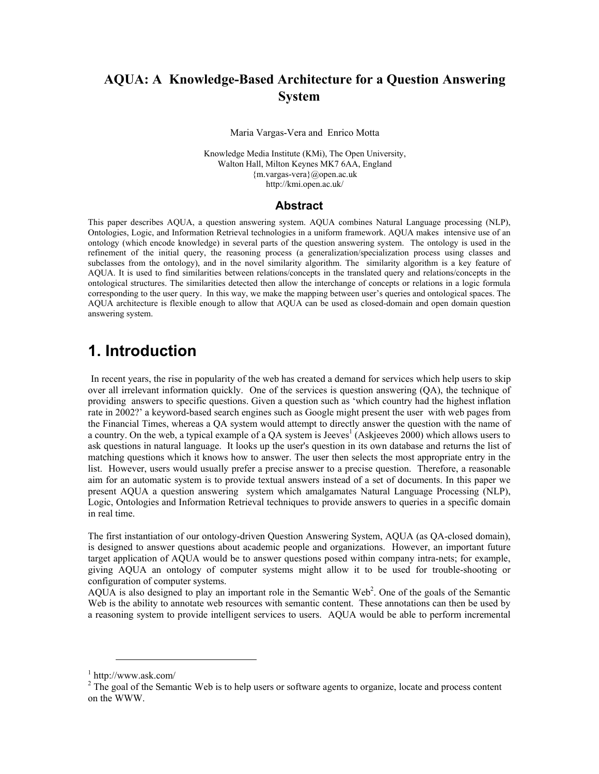## **AQUA: A Knowledge-Based Architecture for a Question Answering System**

Maria Vargas-Vera and Enrico Motta

Knowledge Media Institute (KMi), The Open University, Walton Hall, Milton Keynes MK7 6AA, England {m.vargas-vera}@open.ac.uk http://kmi.open.ac.uk/

### **Abstract**

This paper describes AQUA, a question answering system. AQUA combines Natural Language processing (NLP), Ontologies, Logic, and Information Retrieval technologies in a uniform framework. AQUA makes intensive use of an ontology (which encode knowledge) in several parts of the question answering system. The ontology is used in the refinement of the initial query, the reasoning process (a generalization/specialization process using classes and subclasses from the ontology), and in the novel similarity algorithm. The similarity algorithm is a key feature of AQUA. It is used to find similarities between relations/concepts in the translated query and relations/concepts in the ontological structures. The similarities detected then allow the interchange of concepts or relations in a logic formula corresponding to the user query. In this way, we make the mapping between user's queries and ontological spaces. The AQUA architecture is flexible enough to allow that AQUA can be used as closed-domain and open domain question answering system.

# **1. Introduction**

In recent years, the rise in popularity of the web has created a demand for services which help users to skip over all irrelevant information quickly. One of the services is question answering (QA), the technique of providing answers to specific questions. Given a question such as 'which country had the highest inflation rate in 2002?' a keyword-based search engines such as Google might present the user with web pages from the Financial Times, whereas a QA system would attempt to directly answer the question with the name of a country. On the web, a typical example of a QA system is Jeeves<sup>1</sup> (Askjeeves 2000) which allows users to ask questions in natural language. It looks up the user's question in its own database and returns the list of matching questions which it knows how to answer. The user then selects the most appropriate entry in the list. However, users would usually prefer a precise answer to a precise question. Therefore, a reasonable aim for an automatic system is to provide textual answers instead of a set of documents. In this paper we present AQUA a question answering system which amalgamates Natural Language Processing (NLP), Logic, Ontologies and Information Retrieval techniques to provide answers to queries in a specific domain in real time.

The first instantiation of our ontology-driven Question Answering System, AQUA (as QA-closed domain), is designed to answer questions about academic people and organizations. However, an important future target application of AQUA would be to answer questions posed within company intra-nets; for example, giving AQUA an ontology of computer systems might allow it to be used for trouble-shooting or configuration of computer systems.

 $AQUA$  is also designed to play an important role in the Semantic Web<sup>[2](#page-1-1)</sup>. One of the goals of the Semantic Web is the ability to annotate web resources with semantic content. These annotations can then be used by a reasoning system to provide intelligent services to users. AQUA would be able to perform incremental

l

<span id="page-1-0"></span><sup>1</sup> http://www.ask.com/

<span id="page-1-1"></span> $2^2$  The goal of the Semantic Web is to help users or software agents to organize, locate and process content on the WWW.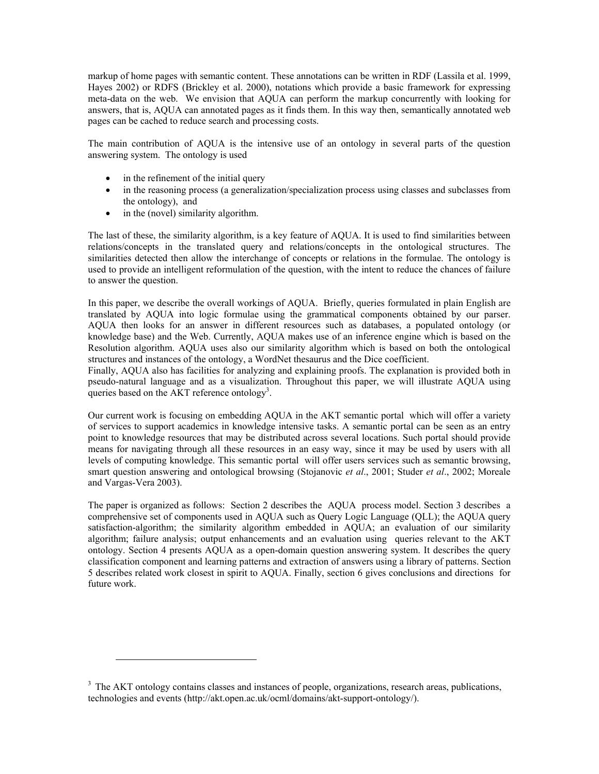markup of home pages with semantic content. These annotations can be written in RDF (Lassila et al. 1999, Hayes 2002) or RDFS (Brickley et al. 2000), notations which provide a basic framework for expressing meta-data on the web. We envision that AQUA can perform the markup concurrently with looking for answers, that is, AQUA can annotated pages as it finds them. In this way then, semantically annotated web pages can be cached to reduce search and processing costs.

The main contribution of AQUA is the intensive use of an ontology in several parts of the question answering system. The ontology is used

- in the refinement of the initial query
- in the reasoning process (a generalization/specialization process using classes and subclasses from the ontology), and
- in the (novel) similarity algorithm.

l

The last of these, the similarity algorithm, is a key feature of AQUA. It is used to find similarities between relations/concepts in the translated query and relations/concepts in the ontological structures. The similarities detected then allow the interchange of concepts or relations in the formulae. The ontology is used to provide an intelligent reformulation of the question, with the intent to reduce the chances of failure to answer the question.

In this paper, we describe the overall workings of AQUA. Briefly, queries formulated in plain English are translated by AQUA into logic formulae using the grammatical components obtained by our parser. AQUA then looks for an answer in different resources such as databases, a populated ontology (or knowledge base) and the Web. Currently, AQUA makes use of an inference engine which is based on the Resolution algorithm. AQUA uses also our similarity algorithm which is based on both the ontological structures and instances of the ontology, a WordNet thesaurus and the Dice coefficient.

Finally, AQUA also has facilities for analyzing and explaining proofs. The explanation is provided both in pseudo-natural language and as a visualization. Throughout this paper, we will illustrate AQUA using queries based on the AKT reference ontology<sup>3</sup>.

Our current work is focusing on embedding AQUA in the AKT semantic portal which will offer a variety of services to support academics in knowledge intensive tasks. A semantic portal can be seen as an entry point to knowledge resources that may be distributed across several locations. Such portal should provide means for navigating through all these resources in an easy way, since it may be used by users with all levels of computing knowledge. This semantic portal will offer users services such as semantic browsing, smart question answering and ontological browsing (Stojanovic *et al*., 2001; Studer *et al*., 2002; Moreale and Vargas-Vera 2003).

The paper is organized as follows: Section 2 describes the AQUA process model. Section 3 describes a comprehensive set of components used in AQUA such as Query Logic Language (QLL); the AQUA query satisfaction-algorithm; the similarity algorithm embedded in AQUA; an evaluation of our similarity algorithm; failure analysis; output enhancements and an evaluation using queries relevant to the AKT ontology. Section 4 presents AQUA as a open-domain question answering system. It describes the query classification component and learning patterns and extraction of answers using a library of patterns. Section 5 describes related work closest in spirit to AQUA. Finally, section 6 gives conclusions and directions for future work.

<span id="page-2-0"></span><sup>&</sup>lt;sup>3</sup> The AKT ontology contains classes and instances of people, organizations, research areas, publications, technologies and events (http://akt.open.ac.uk/ocml/domains/akt-support-ontology/).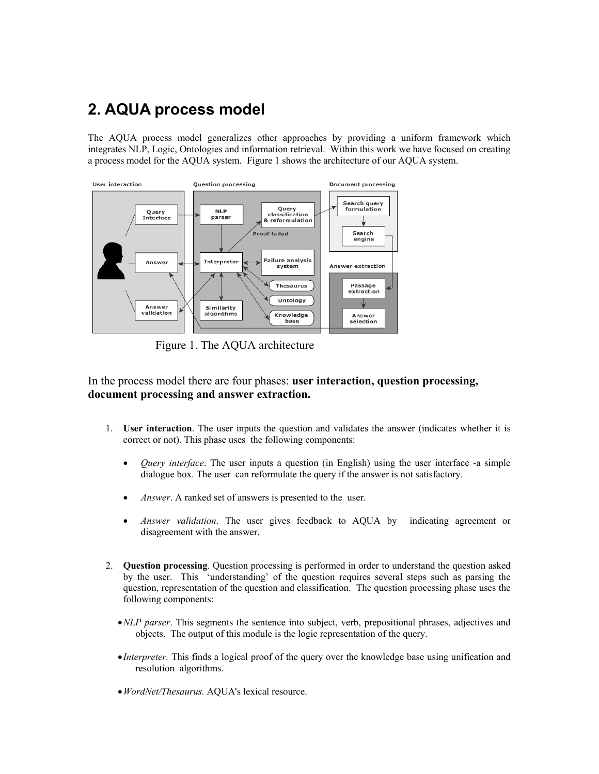# **2. AQUA process model**

The AQUA process model generalizes other approaches by providing a uniform framework which integrates NLP, Logic, Ontologies and information retrieval. Within this work we have focused on creating a process model for the AQUA system. Figure 1 shows the architecture of our AQUA system.



Figure 1. The AQUA architecture

## In the process model there are four phases: **user interaction, question processing, document processing and answer extraction.**

- 1. **User interaction**. The user inputs the question and validates the answer (indicates whether it is correct or not). This phase uses the following components:
	- *Query interface*. The user inputs a question (in English) using the user interface -a simple dialogue box. The user can reformulate the query if the answer is not satisfactory.
	- *Answer*. A ranked set of answers is presented to the user.
	- *Answer validation*. The user gives feedback to AQUA by indicating agreement or disagreement with the answer.
- 2. **Question processing**. Question processing is performed in order to understand the question asked by the user. This 'understanding' of the question requires several steps such as parsing the question, representation of the question and classification. The question processing phase uses the following components:
	- •*NLP parser*. This segments the sentence into subject, verb, prepositional phrases, adjectives and objects. The output of this module is the logic representation of the query.
	- •*Interpreter*. This finds a logical proof of the query over the knowledge base using unification and resolution algorithms.
	- •*WordNet/Thesaurus.* AQUA's lexical resource.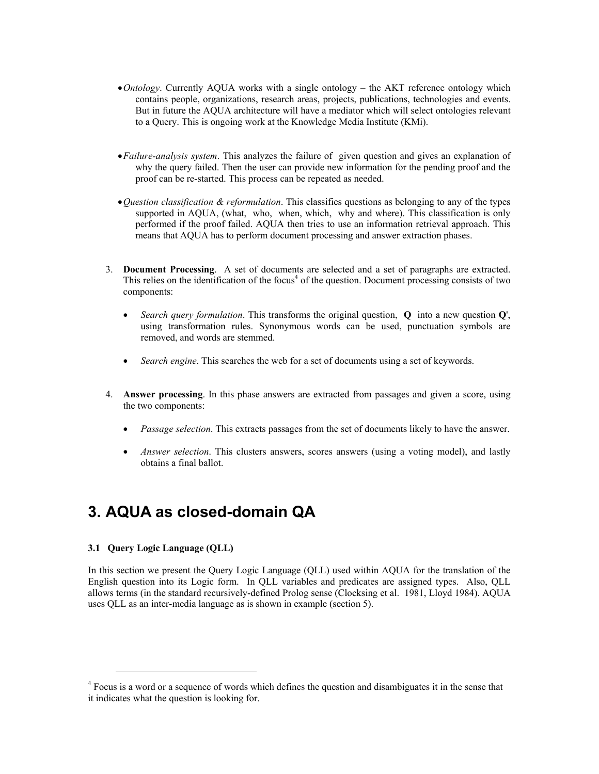- •*Ontology*. Currently AQUA works with a single ontology the AKT reference ontology which contains people, organizations, research areas, projects, publications, technologies and events. But in future the AQUA architecture will have a mediator which will select ontologies relevant to a Query. This is ongoing work at the Knowledge Media Institute (KMi).
- •*Failure-analysis system*. This analyzes the failure of given question and gives an explanation of why the query failed. Then the user can provide new information for the pending proof and the proof can be re-started. This process can be repeated as needed.
- •*Question classification & reformulation*. This classifies questions as belonging to any of the types supported in AQUA, (what, who, when, which, why and where). This classification is only performed if the proof failed. AQUA then tries to use an information retrieval approach. This means that AQUA has to perform document processing and answer extraction phases.
- 3. **Document Processing**. A set of documents are selected and a set of paragraphs are extracted. This relies on the identification of the focus<sup>[4](#page-4-0)</sup> of the question. Document processing consists of two components:
	- *Search query formulation*. This transforms the original question, **Q** into a new question **Q**', using transformation rules. Synonymous words can be used, punctuation symbols are removed, and words are stemmed.
	- *Search engine*. This searches the web for a set of documents using a set of keywords.
- 4. **Answer processing**. In this phase answers are extracted from passages and given a score, using the two components:
	- *Passage selection*. This extracts passages from the set of documents likely to have the answer.
	- *Answer selection*. This clusters answers, scores answers (using a voting model), and lastly obtains a final ballot.

# **3. AQUA as closed-domain QA**

### **3.1 Query Logic Language (QLL)**

 $\overline{a}$ 

In this section we present the Query Logic Language (QLL) used within AQUA for the translation of the English question into its Logic form. In QLL variables and predicates are assigned types. Also, QLL allows terms (in the standard recursively-defined Prolog sense (Clocksing et al. 1981, Lloyd 1984). AQUA uses QLL as an inter-media language as is shown in example (section 5).

<span id="page-4-0"></span><sup>&</sup>lt;sup>4</sup> Focus is a word or a sequence of words which defines the question and disambiguates it in the sense that it indicates what the question is looking for.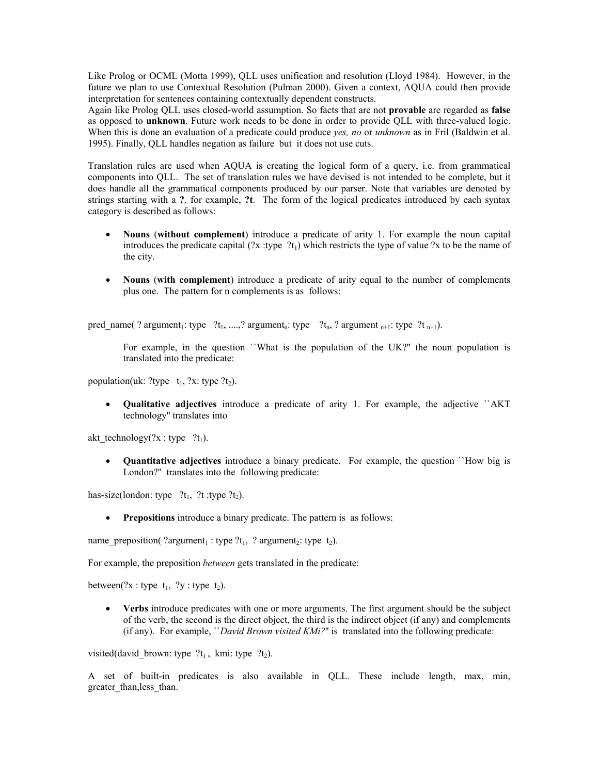Like Prolog or OCML (Motta 1999), QLL uses unification and resolution (Lloyd 1984). However, in the future we plan to use Contextual Resolution (Pulman 2000). Given a context, AQUA could then provide interpretation for sentences containing contextually dependent constructs.

Again like Prolog QLL uses closed-world assumption. So facts that are not **provable** are regarded as **false**  as opposed to **unknown**. Future work needs to be done in order to provide QLL with three-valued logic. When this is done an evaluation of a predicate could produce *yes, no* or *unknown* as in Fril (Baldwin et al. 1995). Finally, QLL handles negation as failure but it does not use cuts.

Translation rules are used when AQUA is creating the logical form of a query, i.e. from grammatical components into QLL. The set of translation rules we have devised is not intended to be complete, but it does handle all the grammatical components produced by our parser. Note that variables are denoted by strings starting with a **?***,* for example, **?t**. The form of the logical predicates introduced by each syntax category is described as follows:

- **Nouns** (**without complement**) introduce a predicate of arity 1. For example the noun capital introduces the predicate capital  $(2x : type \t2t_1)$  which restricts the type of value  $2x$  to be the name of the city.
- **Nouns** (**with complement**) introduce a predicate of arity equal to the number of complements plus one. The pattern for n complements is as follows:

pred\_name( ? argument<sub>1</sub>: type  $?t_1, \ldots, ?$  argument<sub>n</sub>: type  $?t_n$ , ? argument <sub>n+1</sub>: type  $?t_{n+1}$ ).

For example, in the question ``What is the population of the UK?'' the noun population is translated into the predicate:

population(uk: ?type  $t_1$ , ?x: type ?t<sub>2</sub>).

• **Qualitative adjectives** introduce a predicate of arity 1. For example, the adjective ``AKT technology'' translates into

akt technology $(?x : type ?t_1)$ .

• **Quantitative adjectives** introduce a binary predicate. For example, the question ``How big is London?'' translates into the following predicate:

has-size(london: type  $?t_1$ ,  $?t$ : type  $?t_2$ ).

• **Prepositions** introduce a binary predicate. The pattern is as follows:

name\_preposition( $?$ argument<sub>1</sub> : type  $?t_1$ ,  $?$  argument<sub>2</sub>: type  $t_2$ ).

For example, the preposition *between* gets translated in the predicate:

between( $?x : type t_1, ?y : type t_2$ ).

• Verbs introduce predicates with one or more arguments. The first argument should be the subject of the verb, the second is the direct object, the third is the indirect object (if any) and complements (if any). For example, ``*David Brown visited KMi?*'' is translated into the following predicate:

visited(david brown: type  $?t_1$ , kmi: type  $?t_2$ ).

A set of built-in predicates is also available in QLL. These include length, max, min, greater than, less than.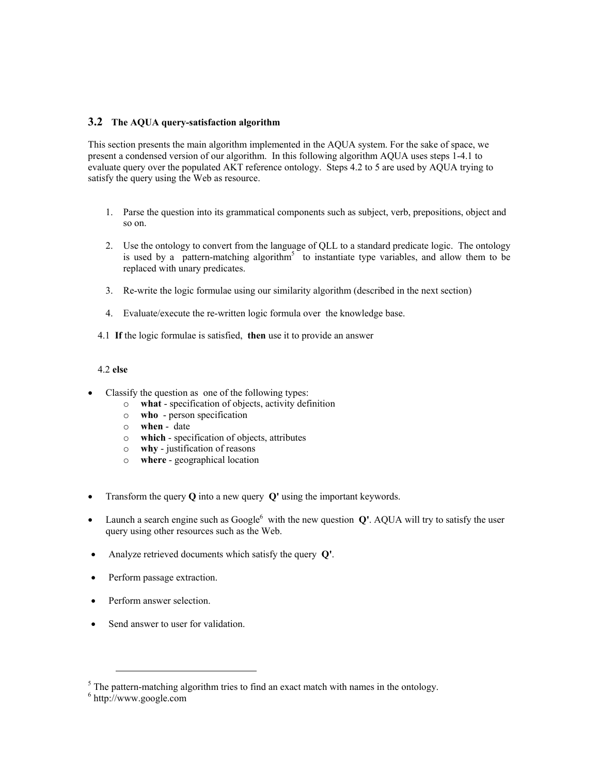### **3.2 The AQUA query-satisfaction algorithm**

This section presents the main algorithm implemented in the AQUA system. For the sake of space, we present a condensed version of our algorithm. In this following algorithm AQUA uses steps 1-4.1 to evaluate query over the populated AKT reference ontology. Steps 4.2 to 5 are used by AQUA trying to satisfy the query using the Web as resource.

- 1. Parse the question into its grammatical components such as subject, verb, prepositions, object and so on.
- 2. Use the ontology to convert from the language of QLL to a standard predicate logic. The ontology is used by a pattern-matching algorithm<sup>5</sup> to instantiate type variables, and allow them to be replaced with unary predicates.
- 3. Re-write the logic formulae using our similarity algorithm (described in the next section)
- 4. Evaluate/execute the re-written logic formula over the knowledge base.
- 4.1 **If** the logic formulae is satisfied, **then** use it to provide an answer

### 4.2 **else**

- Classify the question as one of the following types:
	- o **what** specification of objects, activity definition
	- o **who** person specification
	- o **when** date
	- which specification of objects, attributes
	- o **why** justification of reasons
	- o **where** geographical location
- Transform the query **Q** into a new query **Q'** using the important keywords.
- Launch a search engine such as  $Google<sup>6</sup>$  $Google<sup>6</sup>$  $Google<sup>6</sup>$  with the new question  $Q'$ . AQUA will try to satisfy the user query using other resources such as the Web.
- Analyze retrieved documents which satisfy the query **Q'**.
- Perform passage extraction.
- Perform answer selection.
- Send answer to user for validation.

 $\overline{a}$ 

<span id="page-6-0"></span> $<sup>5</sup>$  The pattern-matching algorithm tries to find an exact match with names in the ontology.</sup>

<span id="page-6-1"></span><sup>6</sup> http://www.google.com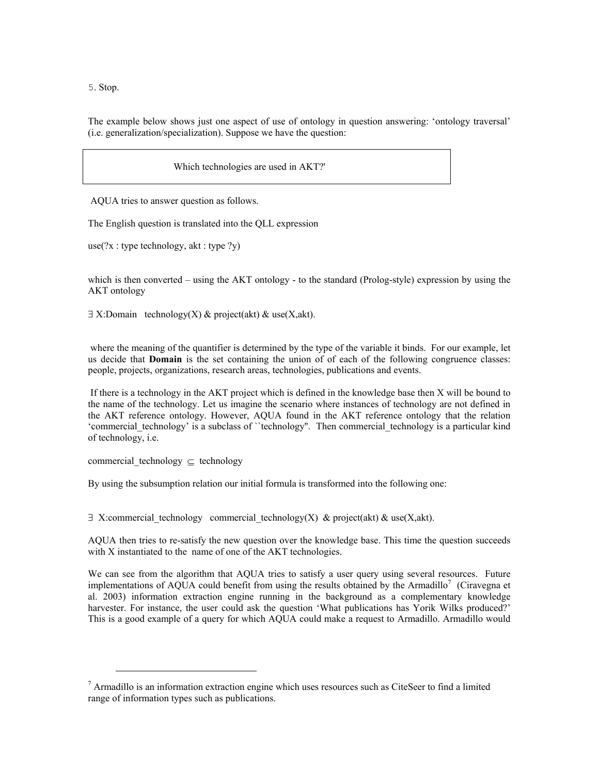5. Stop.

The example below shows just one aspect of use of ontology in question answering: 'ontology traversal' (i.e. generalization/specialization). Suppose we have the question:

Which technologies are used in AKT?'

AQUA tries to answer question as follows.

The English question is translated into the QLL expression

 $use(?x : type technology, akt : type ?y)$ 

which is then converted – using the AKT ontology - to the standard (Prolog-style) expression by using the AKT ontology

 $\exists$  X:Domain technology(X) & project(akt) & use(X,akt).

 where the meaning of the quantifier is determined by the type of the variable it binds. For our example, let us decide that **Domain** is the set containing the union of of each of the following congruence classes: people, projects, organizations, research areas, technologies, publications and events.

 If there is a technology in the AKT project which is defined in the knowledge base then X will be bound to the name of the technology. Let us imagine the scenario where instances of technology are not defined in the AKT reference ontology. However, AQUA found in the AKT reference ontology that the relation 'commercial\_technology' is a subclass of ``technology''. Then commercial\_technology is a particular kind of technology, i.e.

commercial technology  $\subseteq$  technology

 $\overline{a}$ 

By using the subsumption relation our initial formula is transformed into the following one:

 $\exists$  X:commercial technology commercial technology(X) & project(akt) & use(X,akt).

AQUA then tries to re-satisfy the new question over the knowledge base. This time the question succeeds with X instantiated to the name of one of the AKT technologies.

We can see from the algorithm that AQUA tries to satisfy a user query using several resources. Future implementations of AQUA could benefit from using the results obtained by the Armadillo<sup>[7](#page-7-0)</sup> (Ciravegna et al. 2003) information extraction engine running in the background as a complementary knowledge harvester. For instance, the user could ask the question 'What publications has Yorik Wilks produced?' This is a good example of a query for which AQUA could make a request to Armadillo. Armadillo would

<span id="page-7-0"></span> $<sup>7</sup>$  Armadillo is an information extraction engine which uses resources such as CiteSeer to find a limited</sup> range of information types such as publications.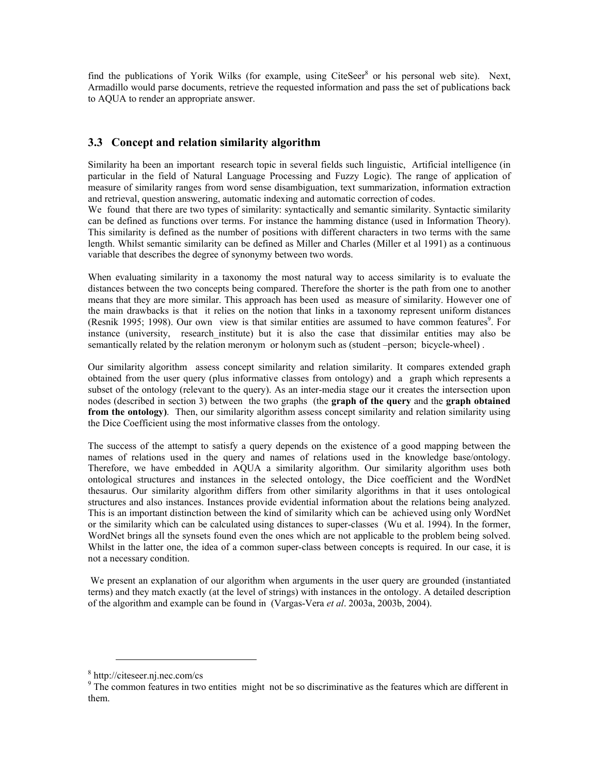find the publications of Yorik Wilks (for example, using CiteSeer<sup>[8](#page-8-0)</sup> or his personal web site). Next, Armadillo would parse documents, retrieve the requested information and pass the set of publications back to AQUA to render an appropriate answer.

## **3.3 Concept and relation similarity algorithm**

Similarity ha been an important research topic in several fields such linguistic, Artificial intelligence (in particular in the field of Natural Language Processing and Fuzzy Logic). The range of application of measure of similarity ranges from word sense disambiguation, text summarization, information extraction and retrieval, question answering, automatic indexing and automatic correction of codes.

We found that there are two types of similarity: syntactically and semantic similarity. Syntactic similarity can be defined as functions over terms. For instance the hamming distance (used in Information Theory). This similarity is defined as the number of positions with different characters in two terms with the same length. Whilst semantic similarity can be defined as Miller and Charles (Miller et al 1991) as a continuous variable that describes the degree of synonymy between two words.

When evaluating similarity in a taxonomy the most natural way to access similarity is to evaluate the distances between the two concepts being compared. Therefore the shorter is the path from one to another means that they are more similar. This approach has been used as measure of similarity. However one of the main drawbacks is that it relies on the notion that links in a taxonomy represent uniform distances (Resnik 1[9](#page-8-1)95; 1998). Our own view is that similar entities are assumed to have common features<sup>9</sup>. For instance (university, research institute) but it is also the case that dissimilar entities may also be semantically related by the relation meronym or holonym such as (student –person; bicycle-wheel) .

Our similarity algorithm assess concept similarity and relation similarity. It compares extended graph obtained from the user query (plus informative classes from ontology) and a graph which represents a subset of the ontology (relevant to the query). As an inter-media stage our it creates the intersection upon nodes (described in section 3) between the two graphs (the **graph of the query** and the **graph obtained from the ontology)**. Then, our similarity algorithm assess concept similarity and relation similarity using the Dice Coefficient using the most informative classes from the ontology.

The success of the attempt to satisfy a query depends on the existence of a good mapping between the names of relations used in the query and names of relations used in the knowledge base/ontology. Therefore, we have embedded in AQUA a similarity algorithm. Our similarity algorithm uses both ontological structures and instances in the selected ontology, the Dice coefficient and the WordNet thesaurus. Our similarity algorithm differs from other similarity algorithms in that it uses ontological structures and also instances. Instances provide evidential information about the relations being analyzed. This is an important distinction between the kind of similarity which can be achieved using only WordNet or the similarity which can be calculated using distances to super-classes (Wu et al. 1994). In the former, WordNet brings all the synsets found even the ones which are not applicable to the problem being solved. Whilst in the latter one, the idea of a common super-class between concepts is required. In our case, it is not a necessary condition.

 We present an explanation of our algorithm when arguments in the user query are grounded (instantiated terms) and they match exactly (at the level of strings) with instances in the ontology. A detailed description of the algorithm and example can be found in (Vargas-Vera *et al*. 2003a, 2003b, 2004).

l

<span id="page-8-0"></span><sup>8</sup> http://citeseer.nj.nec.com/cs

<span id="page-8-1"></span><sup>&</sup>lt;sup>9</sup> The common features in two entities might not be so discriminative as the features which are different in them.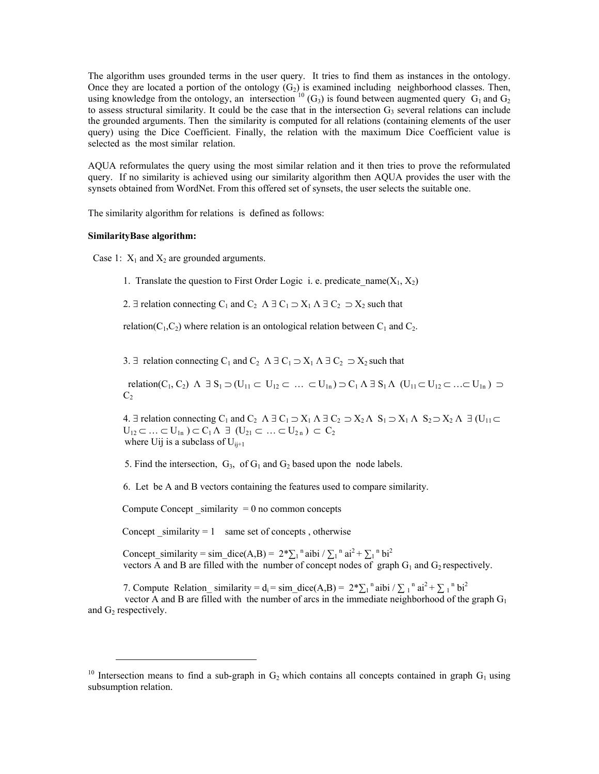The algorithm uses grounded terms in the user query. It tries to find them as instances in the ontology. Once they are located a portion of the ontology  $(G_2)$  is examined including neighborhood classes. Then, using knowledge from the ontology, an intersection  $^{10}$  (G<sub>3</sub>) is found between augmented query G<sub>1</sub> and G<sub>2</sub> to assess structural similarity. It could be the case that in the intersection  $G_3$  several relations can include the grounded arguments. Then the similarity is computed for all relations (containing elements of the user query) using the Dice Coefficient. Finally, the relation with the maximum Dice Coefficient value is selected as the most similar relation.

AQUA reformulates the query using the most similar relation and it then tries to prove the reformulated query. If no similarity is achieved using our similarity algorithm then AQUA provides the user with the synsets obtained from WordNet. From this offered set of synsets, the user selects the suitable one.

The similarity algorithm for relations is defined as follows:

#### **SimilarityBase algorithm:**

l

Case 1:  $X_1$  and  $X_2$  are grounded arguments.

- 1. Translate the question to First Order Logic i. e. predicate  $name(X_1, X_2)$
- 2.  $\exists$  relation connecting C<sub>1</sub> and C<sub>2</sub> Λ  $\exists$  C<sub>1</sub>  $\supset X_1$  Λ  $\exists$  C<sub>2</sub>  $\supset X_2$  such that

relation( $C_1$ , $C_2$ ) where relation is an ontological relation between  $C_1$  and  $C_2$ .

3.  $\exists$  relation connecting C<sub>1</sub> and C<sub>2</sub> Λ  $\exists$  C<sub>1</sub>  $\supset X_1$  Λ  $\exists$  C<sub>2</sub>  $\supset X_2$  such that

relation(C<sub>1</sub>, C<sub>2</sub>)  $\Lambda \exists S_1 \supset (U_{11} \subset U_{12} \subset ... \subset U_{1n}) \supset C_1 \Lambda \exists S_1 \Lambda (U_{11} \subset U_{12} \subset ... \subset U_{1n}) \supset$  $C<sub>2</sub>$ 

4.  $\exists$  relation connecting C<sub>1</sub> and C<sub>2</sub> Λ  $\exists$  C<sub>1</sub>  $\supset X_1 \wedge \exists$  C<sub>2</sub>  $\supset X_2 \wedge S_1 \supset X_1 \wedge S_2 \supset X_2 \wedge \exists$  (U<sub>11</sub>  $\subset$  $U_{12} \subset \ldots \subset U_{1n}$ ) $\subset C_1 \Lambda \exists (U_{21} \subset \ldots \subset U_{2n}) \subset C_2$ where Uij is a subclass of  $U_{i,j+1}$ 

5. Find the intersection,  $G_3$ , of  $G_1$  and  $G_2$  based upon the node labels.

6. Let be A and B vectors containing the features used to compare similarity.

Compute Concept  $\sin\theta$  similarity = 0 no common concepts

Concept  $\text{similarity} = 1$  same set of concepts, otherwise

Concept\_similarity = sim\_dice(A,B) =  $2 \times \sum_{1}^{\infty}$  aibi /  $\sum_{1}^{\infty}$  ai<sup>2</sup> +  $\sum_{1}^{\infty}$  bi<sup>2</sup> vectors A and B are filled with the number of concept nodes of graph  $G_1$  and  $G_2$  respectively.

7. Compute Relation similarity =  $d_i = \text{sim\_dice}(A, B) = 2 * \sum_{i}^{n} \text{aibi} / \sum_{i}^{n} \text{ai}^2 + \sum_{i}^{n} \text{bi}^2$ 

vector A and B are filled with the number of arcs in the immediate neighborhood of the graph  $G_1$ and  $G_2$  respectively.

<span id="page-9-0"></span><sup>&</sup>lt;sup>10</sup> Intersection means to find a sub-graph in  $G_2$  which contains all concepts contained in graph  $G_1$  using subsumption relation.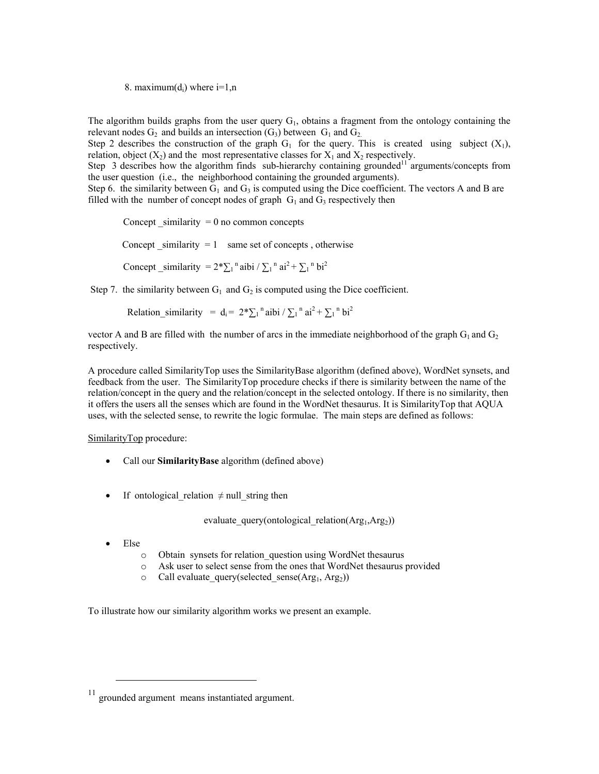8. maximum( $d_i$ ) where i=1,n

The algorithm builds graphs from the user query  $G_1$ , obtains a fragment from the ontology containing the relevant nodes  $G_2$  and builds an intersection  $(G_3)$  between  $G_1$  and  $G_2$ .

Step 2 describes the construction of the graph  $G_1$  for the query. This is created using subject  $(X_1)$ , relation, object  $(X_2)$  and the most representative classes for  $X_1$  and  $X_2$  respectively.

Step 3 describes how the algorithm finds sub-hierarchy containing grounded<sup>11</sup> arguments/concepts from the user question (i.e., the neighborhood containing the grounded arguments).

Step 6. the similarity between  $G_1$  and  $G_3$  is computed using the Dice coefficient. The vectors A and B are filled with the number of concept nodes of graph  $G_1$  and  $G_3$  respectively then

Concept  $\sin\theta = 0$  no common concepts Concept similarity  $= 1$  same set of concepts, otherwise Concept \_similarity =  $2 \times \sum_{1}^{\infty}$  aibi /  $\sum_{1}^{\infty}$  ai<sup>2</sup> +  $\sum_{1}^{\infty}$  bi<sup>2</sup>

Step 7. the similarity between  $G_1$  and  $G_2$  is computed using the Dice coefficient.

Relation\_similarity =  $d_i = 2 \times \sum_{i}^{\infty} \frac{1}{i}$  aibi /  $\sum_{i}^{\infty} \frac{1}{i}$  ai $i^2 + \sum_{i}^{\infty} \frac{1}{i}$  bi<sup>2</sup>

vector A and B are filled with the number of arcs in the immediate neighborhood of the graph  $G_1$  and  $G_2$ respectively.

A procedure called SimilarityTop uses the SimilarityBase algorithm (defined above), WordNet synsets, and feedback from the user. The SimilarityTop procedure checks if there is similarity between the name of the relation/concept in the query and the relation/concept in the selected ontology. If there is no similarity, then it offers the users all the senses which are found in the WordNet thesaurus. It is SimilarityTop that AQUA uses, with the selected sense, to rewrite the logic formulae. The main steps are defined as follows:

SimilarityTop procedure:

- Call our **SimilarityBase** algorithm (defined above)
- If ontological relation  $\neq$  null string then

evaluate query(ontological relation( $Arg_1,Arg_2$ ))

• Else

 $\overline{a}$ 

- o Obtain synsets for relation\_question using WordNet thesaurus
- o Ask user to select sense from the ones that WordNet thesaurus provided
- $\circ$  Call evaluate query(selected sense(Arg<sub>1</sub>, Arg<sub>2</sub>))

To illustrate how our similarity algorithm works we present an example.

<span id="page-10-0"></span><sup>&</sup>lt;sup>11</sup> grounded argument means instantiated argument.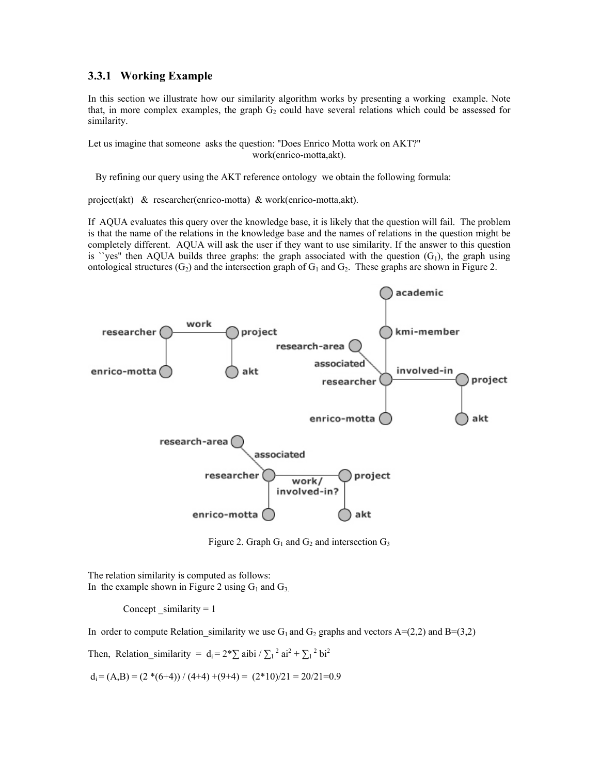### **3.3.1 Working Example**

In this section we illustrate how our similarity algorithm works by presenting a working example. Note that, in more complex examples, the graph  $G<sub>2</sub>$  could have several relations which could be assessed for similarity.

Let us imagine that someone asks the question: ''Does Enrico Motta work on AKT?'' work(enrico-motta,akt).

By refining our query using the AKT reference ontology we obtain the following formula:

project(akt) & researcher(enrico-motta) & work(enrico-motta,akt).

If AQUA evaluates this query over the knowledge base, it is likely that the question will fail. The problem is that the name of the relations in the knowledge base and the names of relations in the question might be completely different. AQUA will ask the user if they want to use similarity. If the answer to this question is "yes" then AQUA builds three graphs: the graph associated with the question  $(G_1)$ , the graph using ontological structures  $(G_2)$  and the intersection graph of  $G_1$  and  $G_2$ . These graphs are shown in Figure 2.



Figure 2. Graph  $G_1$  and  $G_2$  and intersection  $G_3$ 

The relation similarity is computed as follows: In the example shown in Figure 2 using  $G_1$  and  $G_3$ .

Concept \_similarity  $= 1$ 

In order to compute Relation similarity we use G<sub>1</sub> and G<sub>2</sub> graphs and vectors A=(2,2) and B=(3,2)

Then, Relation\_similarity =  $d_i = 2 \times \sum a_i \cdot b_i^2$  ai $^2 + \sum_i^2 b_i^2$ 

 $d_i = (A,B) = (2 * (6+4)) / (4+4) + (9+4) = (2 * 10) / 21 = 20 / 21 = 0.9$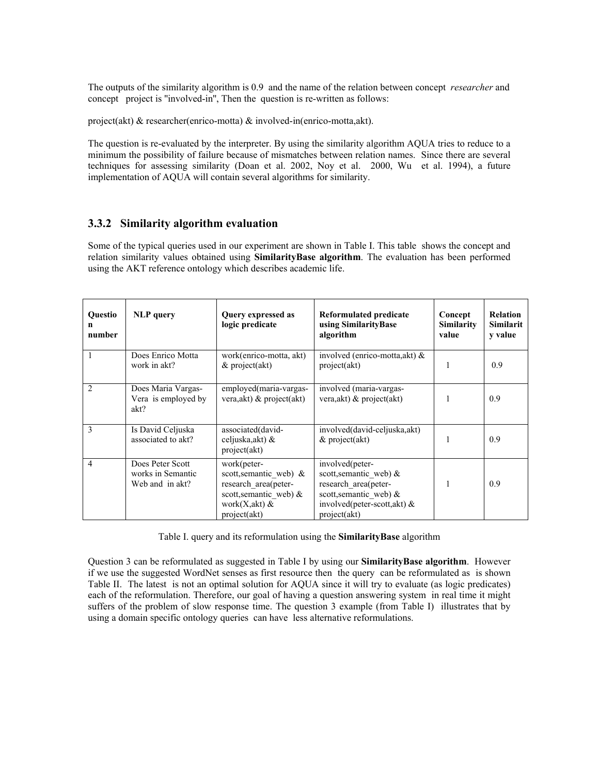The outputs of the similarity algorithm is 0.9 and the name of the relation between concept *researcher* and concept project is ''involved-in'', Then the question is re-written as follows:

project(akt) & researcher(enrico-motta) & involved-in(enrico-motta,akt).

The question is re-evaluated by the interpreter. By using the similarity algorithm AQUA tries to reduce to a minimum the possibility of failure because of mismatches between relation names. Since there are several techniques for assessing similarity (Doan et al. 2002, Noy et al. 2000, Wu et al. 1994), a future implementation of AQUA will contain several algorithms for similarity.

### **3.3.2 Similarity algorithm evaluation**

Some of the typical queries used in our experiment are shown in Table I. This table shows the concept and relation similarity values obtained using **SimilarityBase algorithm**. The evaluation has been performed using the AKT reference ontology which describes academic life.

| Questio<br>n<br>number | <b>NLP</b> query                                         | Query expressed as<br>logic predicate                                                                                        | Reformulated predicate<br>using SimilarityBase<br>algorithm                                                                                    | Concept<br><b>Similarity</b><br>value | <b>Relation</b><br><b>Similarit</b><br>y value |
|------------------------|----------------------------------------------------------|------------------------------------------------------------------------------------------------------------------------------|------------------------------------------------------------------------------------------------------------------------------------------------|---------------------------------------|------------------------------------------------|
|                        | Does Enrico Motta<br>work in akt?                        | work(enrico-motta, akt)<br>$&$ project(akt)                                                                                  | involved (enrico-motta, akt) &<br>project(akt)                                                                                                 |                                       | 0.9                                            |
| $\overline{2}$         | Does Maria Vargas-<br>Vera is employed by<br>akt?        | employed(maria-vargas-<br>vera, akt) & project(akt)                                                                          | involved (maria-vargas-<br>vera, akt) $\&$ project(akt)                                                                                        |                                       | 0.9                                            |
| 3                      | Is David Celjuska<br>associated to akt?                  | associated(david-<br>celjuska, akt) $\&$<br>project(akt)                                                                     | involved(david-celjuska,akt)<br>$\&$ project(akt)                                                                                              |                                       | 0.9                                            |
| $\overline{4}$         | Does Peter Scott<br>works in Semantic<br>Web and in akt? | work(peter-<br>scott, semantic web) &<br>research area(peter-<br>scott, semantic web) &<br>work $(X, akt)$ &<br>project(akt) | involved(peter-<br>scott, semantic web) $\&$<br>research area(peter-<br>scott, semantic web) &<br>involved(peter-scott, akt) &<br>project(akt) |                                       | 0.9                                            |

Table I. query and its reformulation using the **SimilarityBase** algorithm

Question 3 can be reformulated as suggested in Table I by using our **SimilarityBase algorithm**. However if we use the suggested WordNet senses as first resource then the query can be reformulated as is shown Table II. The latest is not an optimal solution for AQUA since it will try to evaluate (as logic predicates) each of the reformulation. Therefore, our goal of having a question answering system in real time it might suffers of the problem of slow response time. The question 3 example (from Table I) illustrates that by using a domain specific ontology queries can have less alternative reformulations.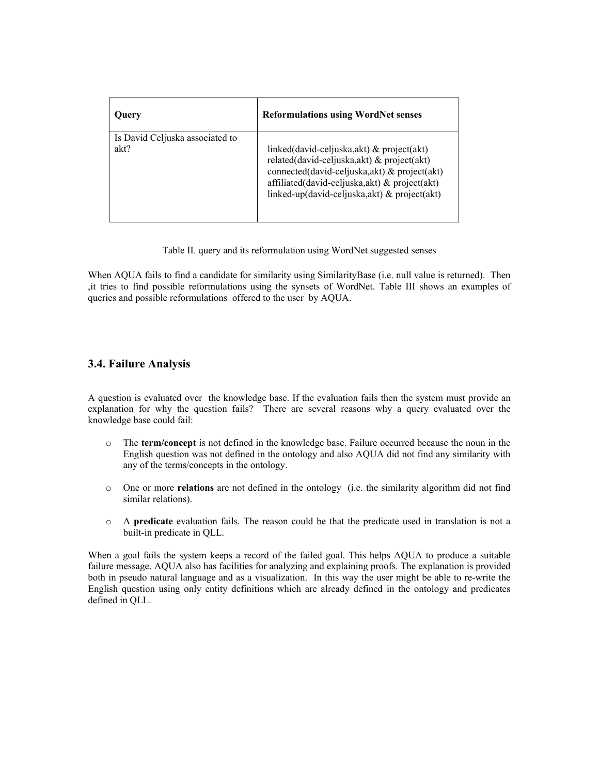| Query                                   | <b>Reformulations using WordNet senses</b>                                                                                                       |
|-----------------------------------------|--------------------------------------------------------------------------------------------------------------------------------------------------|
| Is David Celjuska associated to<br>akt? | linked(david-celjuska, akt) & project(akt)<br>related(david-celjuska, akt) & project(akt)                                                        |
|                                         | connected(david-celjuska, akt) & project(akt)<br>affiliated(david-celjuska, akt) & project(akt)<br>linked-up(david-celjuska, akt) & project(akt) |

Table II. query and its reformulation using WordNet suggested senses

When AQUA fails to find a candidate for similarity using SimilarityBase (i.e. null value is returned). Then ,it tries to find possible reformulations using the synsets of WordNet. Table III shows an examples of queries and possible reformulations offered to the user by AQUA.

### **3.4. Failure Analysis**

A question is evaluated over the knowledge base. If the evaluation fails then the system must provide an explanation for why the question fails? There are several reasons why a query evaluated over the knowledge base could fail:

- o The **term/concept** is not defined in the knowledge base. Failure occurred because the noun in the English question was not defined in the ontology and also AQUA did not find any similarity with any of the terms/concepts in the ontology.
- o One or more **relations** are not defined in the ontology (i.e. the similarity algorithm did not find similar relations).
- o A **predicate** evaluation fails. The reason could be that the predicate used in translation is not a built-in predicate in QLL.

When a goal fails the system keeps a record of the failed goal. This helps AQUA to produce a suitable failure message. AQUA also has facilities for analyzing and explaining proofs. The explanation is provided both in pseudo natural language and as a visualization. In this way the user might be able to re-write the English question using only entity definitions which are already defined in the ontology and predicates defined in QLL.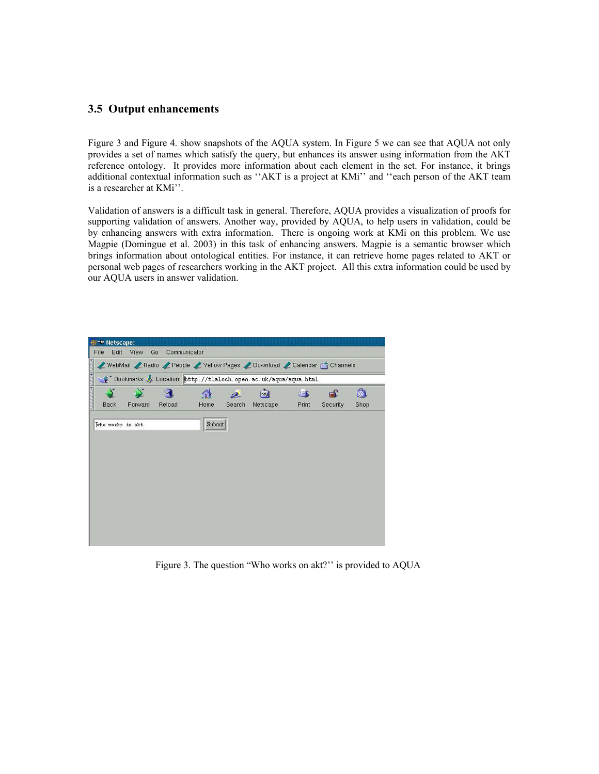### **3.5 Output enhancements**

Figure 3 and Figure 4. show snapshots of the AQUA system. In Figure 5 we can see that AQUA not only provides a set of names which satisfy the query, but enhances its answer using information from the AKT reference ontology. It provides more information about each element in the set. For instance, it brings additional contextual information such as ''AKT is a project at KMi'' and ''each person of the AKT team is a researcher at KMi''.

Validation of answers is a difficult task in general. Therefore, AQUA provides a visualization of proofs for supporting validation of answers. Another way, provided by AQUA, to help users in validation, could be by enhancing answers with extra information. There is ongoing work at KMi on this problem. We use Magpie (Domingue et al. 2003) in this task of enhancing answers. Magpie is a semantic browser which brings information about ontological entities. For instance, it can retrieve home pages related to AKT or personal web pages of researchers working in the AKT project. All this extra information could be used by our AQUA users in answer validation.



Figure 3. The question "Who works on akt?'' is provided to AQUA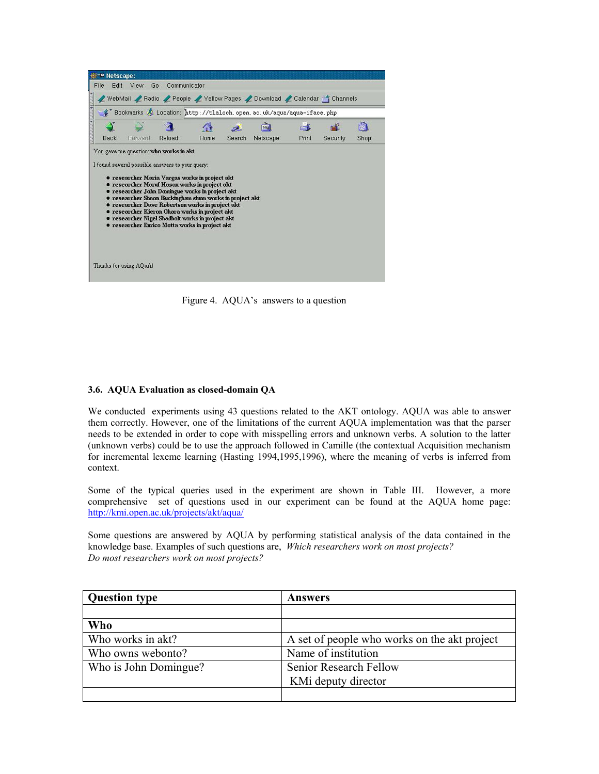

Figure 4. AQUA's answers to a question

### **3.6. AQUA Evaluation as closed-domain QA**

We conducted experiments using 43 questions related to the AKT ontology. AQUA was able to answer them correctly. However, one of the limitations of the current AQUA implementation was that the parser needs to be extended in order to cope with misspelling errors and unknown verbs. A solution to the latter (unknown verbs) could be to use the approach followed in Camille (the contextual Acquisition mechanism for incremental lexeme learning (Hasting 1994,1995,1996), where the meaning of verbs is inferred from context.

Some of the typical queries used in the experiment are shown in Table III. However, a more comprehensive set of questions used in our experiment can be found at the AQUA home page: <http://kmi.open.ac.uk/projects/akt/aqua/>

Some questions are answered by AQUA by performing statistical analysis of the data contained in the knowledge base. Examples of such questions are, *Which researchers work on most projects? Do most researchers work on most projects?* 

| <b>Question type</b>  | <b>Answers</b>                               |  |
|-----------------------|----------------------------------------------|--|
|                       |                                              |  |
| <b>Who</b>            |                                              |  |
| Who works in akt?     | A set of people who works on the akt project |  |
| Who owns webonto?     | Name of institution                          |  |
| Who is John Domingue? | Senior Research Fellow                       |  |
|                       | KMi deputy director                          |  |
|                       |                                              |  |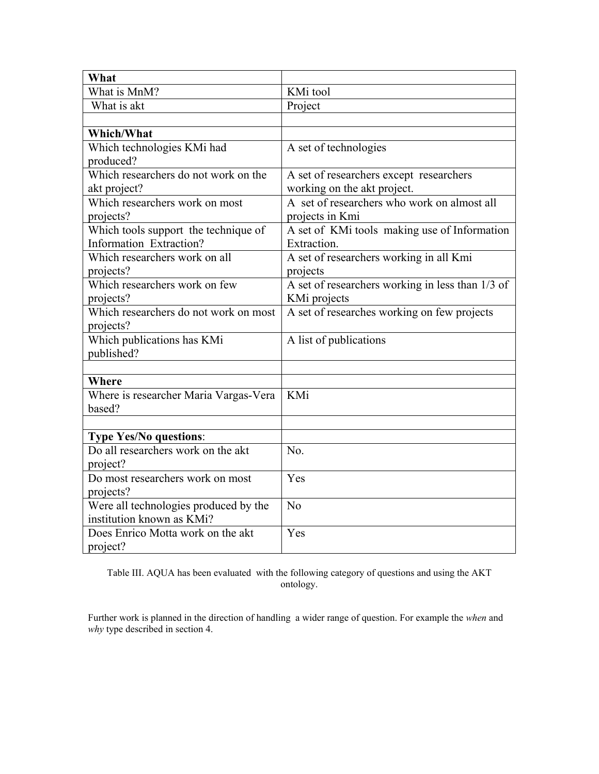| What                                  |                                                  |
|---------------------------------------|--------------------------------------------------|
| What is MnM?                          | KMi tool                                         |
| What is akt                           | Project                                          |
|                                       |                                                  |
| Which/What                            |                                                  |
| Which technologies KMi had            | A set of technologies                            |
| produced?                             |                                                  |
| Which researchers do not work on the  | A set of researchers except researchers          |
| akt project?                          | working on the akt project.                      |
| Which researchers work on most        | A set of researchers who work on almost all      |
| projects?                             | projects in Kmi                                  |
| Which tools support the technique of  | A set of KMi tools making use of Information     |
| Information Extraction?               | Extraction.                                      |
| Which researchers work on all         | A set of researchers working in all Kmi          |
| projects?                             | projects                                         |
| Which researchers work on few         | A set of researchers working in less than 1/3 of |
| projects?                             | KMi projects                                     |
| Which researchers do not work on most | A set of researches working on few projects      |
| projects?                             |                                                  |
| Which publications has KMi            | A list of publications                           |
| published?                            |                                                  |
|                                       |                                                  |
| Where                                 |                                                  |
| Where is researcher Maria Vargas-Vera | KMi                                              |
| based?                                |                                                  |
|                                       |                                                  |
| <b>Type Yes/No questions:</b>         |                                                  |
| Do all researchers work on the akt    | No.                                              |
| project?                              |                                                  |
| Do most researchers work on most      | Yes                                              |
| projects?                             |                                                  |
| Were all technologies produced by the | N <sub>o</sub>                                   |
| institution known as KMi?             |                                                  |
| Does Enrico Motta work on the akt     | Yes                                              |
| project?                              |                                                  |

Table III. AQUA has been evaluated with the following category of questions and using the AKT ontology.

Further work is planned in the direction of handling a wider range of question. For example the *when* and *why* type described in section 4.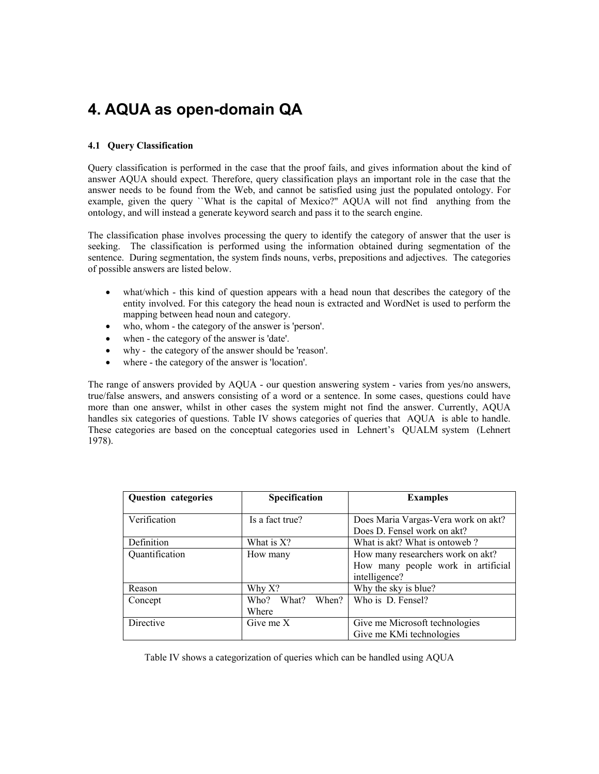# **4. AQUA as open-domain QA**

### **4.1 Query Classification**

Query classification is performed in the case that the proof fails, and gives information about the kind of answer AQUA should expect. Therefore, query classification plays an important role in the case that the answer needs to be found from the Web, and cannot be satisfied using just the populated ontology. For example, given the query ``What is the capital of Mexico?'' AQUA will not find anything from the ontology, and will instead a generate keyword search and pass it to the search engine.

The classification phase involves processing the query to identify the category of answer that the user is seeking. The classification is performed using the information obtained during segmentation of the sentence. During segmentation, the system finds nouns, verbs, prepositions and adjectives. The categories of possible answers are listed below.

- what/which this kind of question appears with a head noun that describes the category of the entity involved. For this category the head noun is extracted and WordNet is used to perform the mapping between head noun and category.
- who, whom the category of the answer is 'person'.
- when the category of the answer is 'date'.
- why the category of the answer should be 'reason'.
- where the category of the answer is 'location'.

The range of answers provided by AQUA - our question answering system - varies from yes/no answers, true/false answers, and answers consisting of a word or a sentence. In some cases, questions could have more than one answer, whilst in other cases the system might not find the answer. Currently, AQUA handles six categories of questions. Table IV shows categories of queries that AQUA is able to handle. These categories are based on the conceptual categories used in Lehnert's QUALM system (Lehnert 1978).

| <b>Question</b> categories | Specification                   | <b>Examples</b>                                                                          |  |
|----------------------------|---------------------------------|------------------------------------------------------------------------------------------|--|
| Verification               | Is a fact true?                 | Does Maria Vargas-Vera work on akt?<br>Does D. Fensel work on akt?                       |  |
| Definition                 | What is X?                      | What is akt? What is ontoweb?                                                            |  |
| Quantification             | How many                        | How many researchers work on akt?<br>How many people work in artificial<br>intelligence? |  |
| Reason                     | Why X?                          | Why the sky is blue?                                                                     |  |
| Concept                    | What?<br>When?<br>Who?<br>Where | Who is D. Fensel?                                                                        |  |
| Directive                  | Give me $X$                     | Give me Microsoft technologies<br>Give me KMi technologies                               |  |

Table IV shows a categorization of queries which can be handled using AQUA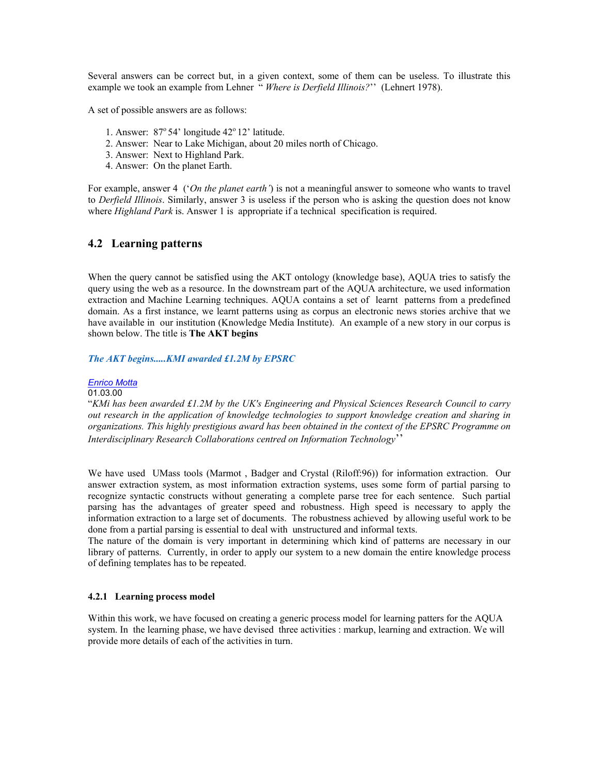Several answers can be correct but, in a given context, some of them can be useless. To illustrate this example we took an example from Lehner " *Where is Derfield Illinois?*'' (Lehnert 1978).

A set of possible answers are as follows:

- 1. Answer:  $87^{\circ}$  54' longitude 42 $^{\circ}$  12' latitude.
- 2. Answer: Near to Lake Michigan, about 20 miles north of Chicago.
- 3. Answer: Next to Highland Park.
- 4. Answer: On the planet Earth.

For example, answer 4 ('*On the planet earth'*) is not a meaningful answer to someone who wants to travel to *Derfield Illinois*. Similarly, answer 3 is useless if the person who is asking the question does not know where *Highland Park* is. Answer 1 is appropriate if a technical specification is required.

### **4.2 Learning patterns**

When the query cannot be satisfied using the AKT ontology (knowledge base), AQUA tries to satisfy the query using the web as a resource. In the downstream part of the AQUA architecture, we used information extraction and Machine Learning techniques. AQUA contains a set of learnt patterns from a predefined domain. As a first instance, we learnt patterns using as corpus an electronic news stories archive that we have available in our institution (Knowledge Media Institute). An example of a new story in our corpus is shown below. The title is **The AKT begins**

*The AKT begins.....KMI awarded £1.2M by EPSRC*

### *[Enrico Motta](http://kmi.open.ac.uk/people/motta/)*

### 01.03.00

"*KMi has been awarded £1.2M by the UK's Engineering and Physical Sciences Research Council to carry out research in the application of knowledge technologies to support knowledge creation and sharing in organizations. This highly prestigious award has been obtained in the context of the EPSRC Programme on Interdisciplinary Research Collaborations centred on Information Technology*''

We have used UMass tools (Marmot , Badger and Crystal (Riloff:96)) for information extraction. Our answer extraction system, as most information extraction systems, uses some form of partial parsing to recognize syntactic constructs without generating a complete parse tree for each sentence. Such partial parsing has the advantages of greater speed and robustness. High speed is necessary to apply the information extraction to a large set of documents. The robustness achieved by allowing useful work to be done from a partial parsing is essential to deal with unstructured and informal texts.

The nature of the domain is very important in determining which kind of patterns are necessary in our library of patterns. Currently, in order to apply our system to a new domain the entire knowledge process of defining templates has to be repeated.

### **4.2.1 Learning process model**

Within this work, we have focused on creating a generic process model for learning patters for the AQUA system. In the learning phase, we have devised three activities : markup, learning and extraction. We will provide more details of each of the activities in turn.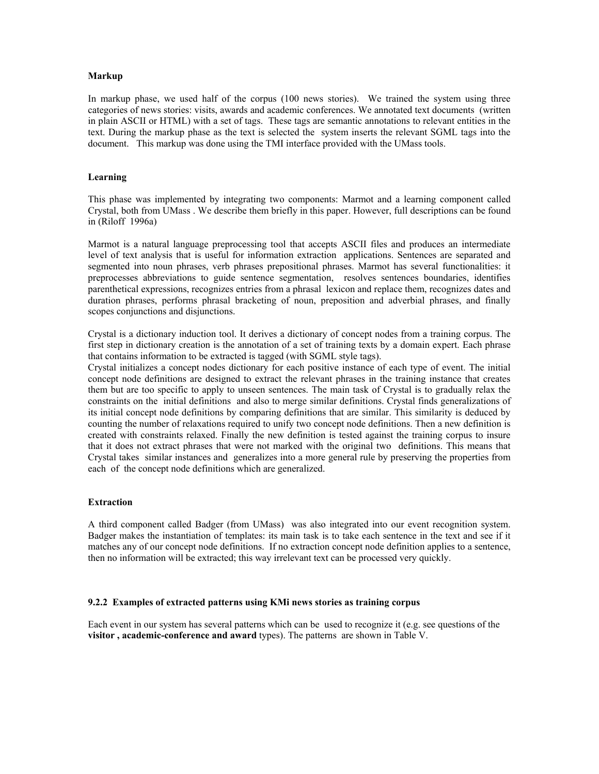#### **Markup**

In markup phase, we used half of the corpus (100 news stories). We trained the system using three categories of news stories: visits, awards and academic conferences. We annotated text documents (written in plain ASCII or HTML) with a set of tags. These tags are semantic annotations to relevant entities in the text. During the markup phase as the text is selected the system inserts the relevant SGML tags into the document. This markup was done using the TMI interface provided with the UMass tools.

### **Learning**

This phase was implemented by integrating two components: Marmot and a learning component called Crystal, both from UMass . We describe them briefly in this paper. However, full descriptions can be found in (Riloff 1996a)

Marmot is a natural language preprocessing tool that accepts ASCII files and produces an intermediate level of text analysis that is useful for information extraction applications. Sentences are separated and segmented into noun phrases, verb phrases prepositional phrases. Marmot has several functionalities: it preprocesses abbreviations to guide sentence segmentation, resolves sentences boundaries, identifies parenthetical expressions, recognizes entries from a phrasal lexicon and replace them, recognizes dates and duration phrases, performs phrasal bracketing of noun, preposition and adverbial phrases, and finally scopes conjunctions and disjunctions.

Crystal is a dictionary induction tool. It derives a dictionary of concept nodes from a training corpus. The first step in dictionary creation is the annotation of a set of training texts by a domain expert. Each phrase that contains information to be extracted is tagged (with SGML style tags).

Crystal initializes a concept nodes dictionary for each positive instance of each type of event. The initial concept node definitions are designed to extract the relevant phrases in the training instance that creates them but are too specific to apply to unseen sentences. The main task of Crystal is to gradually relax the constraints on the initial definitions and also to merge similar definitions. Crystal finds generalizations of its initial concept node definitions by comparing definitions that are similar. This similarity is deduced by counting the number of relaxations required to unify two concept node definitions. Then a new definition is created with constraints relaxed. Finally the new definition is tested against the training corpus to insure that it does not extract phrases that were not marked with the original two definitions. This means that Crystal takes similar instances and generalizes into a more general rule by preserving the properties from each of the concept node definitions which are generalized.

#### **Extraction**

A third component called Badger (from UMass) was also integrated into our event recognition system. Badger makes the instantiation of templates: its main task is to take each sentence in the text and see if it matches any of our concept node definitions. If no extraction concept node definition applies to a sentence, then no information will be extracted; this way irrelevant text can be processed very quickly.

### **9.2.2 Examples of extracted patterns using KMi news stories as training corpus**

Each event in our system has several patterns which can be used to recognize it (e.g. see questions of the **visitor , academic-conference and award** types). The patterns are shown in Table V.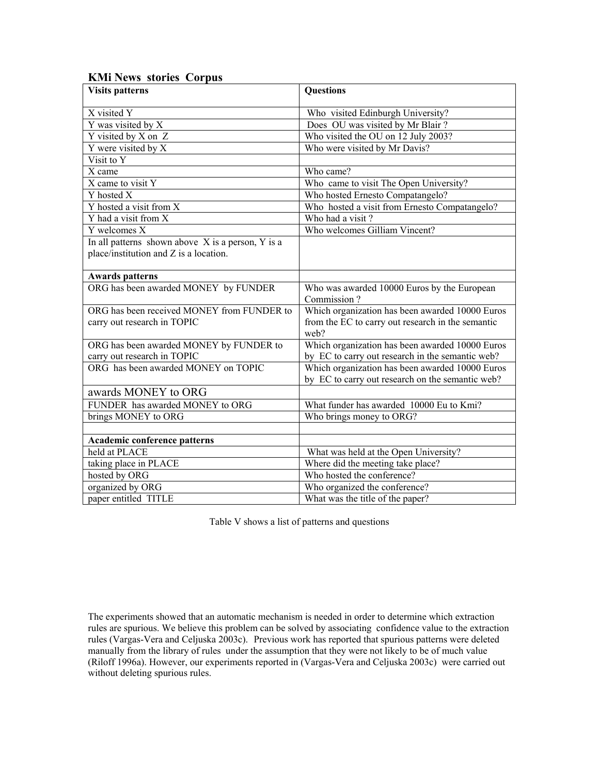## **KMi News stories Corpus**

| <b>Visits patterns</b>                            | <b>Questions</b>                                  |  |
|---------------------------------------------------|---------------------------------------------------|--|
| X visited Y                                       | Who visited Edinburgh University?                 |  |
| Y was visited by X                                | Does OU was visited by Mr Blair?                  |  |
| Y visited by X on Z                               | Who visited the OU on 12 July 2003?               |  |
| Y were visited by X                               | Who were visited by Mr Davis?                     |  |
| Visit to Y                                        |                                                   |  |
| X came                                            | Who came?                                         |  |
| $X$ came to visit $Y$                             | Who came to visit The Open University?            |  |
| Y hosted X                                        | Who hosted Ernesto Compatangelo?                  |  |
| Y hosted a visit from $\overline{X}$              | Who hosted a visit from Ernesto Compatangelo?     |  |
| Y had a visit from X                              | Who had a visit?                                  |  |
| Y welcomes X                                      | Who welcomes Gilliam Vincent?                     |  |
| In all patterns shown above X is a person, Y is a |                                                   |  |
| place/institution and Z is a location.            |                                                   |  |
|                                                   |                                                   |  |
| <b>Awards patterns</b>                            |                                                   |  |
| ORG has been awarded MONEY by FUNDER              | Who was awarded 10000 Euros by the European       |  |
|                                                   | Commission?                                       |  |
| ORG has been received MONEY from FUNDER to        | Which organization has been awarded 10000 Euros   |  |
| carry out research in TOPIC                       | from the EC to carry out research in the semantic |  |
|                                                   | web?                                              |  |
| ORG has been awarded MONEY by FUNDER to           | Which organization has been awarded 10000 Euros   |  |
| carry out research in TOPIC                       | by EC to carry out research in the semantic web?  |  |
| ORG has been awarded MONEY on TOPIC               | Which organization has been awarded 10000 Euros   |  |
|                                                   | by EC to carry out research on the semantic web?  |  |
| awards MONEY to ORG                               |                                                   |  |
| FUNDER has awarded MONEY to ORG                   | What funder has awarded 10000 Eu to Kmi?          |  |
| brings MONEY to ORG                               | Who brings money to ORG?                          |  |
|                                                   |                                                   |  |
| Academic conference patterns                      |                                                   |  |
| held at PLACE                                     | What was held at the Open University?             |  |
| taking place in PLACE                             | Where did the meeting take place?                 |  |
| hosted by ORG                                     | Who hosted the conference?                        |  |
| organized by ORG                                  | Who organized the conference?                     |  |
| paper entitled TITLE                              | What was the title of the paper?                  |  |

Table V shows a list of patterns and questions

The experiments showed that an automatic mechanism is needed in order to determine which extraction rules are spurious. We believe this problem can be solved by associating confidence value to the extraction rules (Vargas-Vera and Celjuska 2003c). Previous work has reported that spurious patterns were deleted manually from the library of rules under the assumption that they were not likely to be of much value (Riloff 1996a). However, our experiments reported in (Vargas-Vera and Celjuska 2003c) were carried out without deleting spurious rules.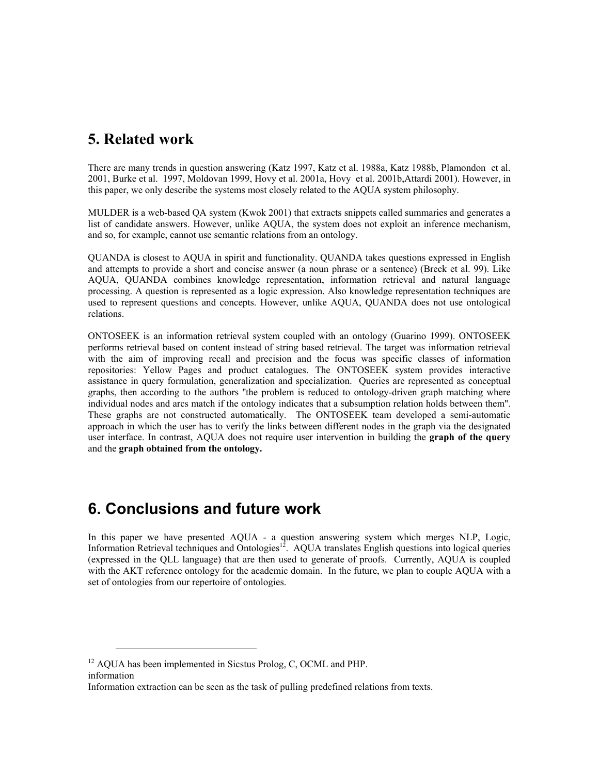## **5. Related work**

There are many trends in question answering (Katz 1997, Katz et al. 1988a, Katz 1988b, Plamondon et al. 2001, Burke et al. 1997, Moldovan 1999, Hovy et al. 2001a, Hovy et al. 2001b,Attardi 2001). However, in this paper, we only describe the systems most closely related to the AQUA system philosophy.

MULDER is a web-based QA system (Kwok 2001) that extracts snippets called summaries and generates a list of candidate answers. However, unlike AQUA, the system does not exploit an inference mechanism, and so, for example, cannot use semantic relations from an ontology.

QUANDA is closest to AQUA in spirit and functionality. QUANDA takes questions expressed in English and attempts to provide a short and concise answer (a noun phrase or a sentence) (Breck et al. 99). Like AQUA, QUANDA combines knowledge representation, information retrieval and natural language processing. A question is represented as a logic expression. Also knowledge representation techniques are used to represent questions and concepts. However, unlike AQUA, QUANDA does not use ontological relations.

ONTOSEEK is an information retrieval system coupled with an ontology (Guarino 1999). ONTOSEEK performs retrieval based on content instead of string based retrieval. The target was information retrieval with the aim of improving recall and precision and the focus was specific classes of information repositories: Yellow Pages and product catalogues. The ONTOSEEK system provides interactive assistance in query formulation, generalization and specialization. Queries are represented as conceptual graphs, then according to the authors ''the problem is reduced to ontology-driven graph matching where individual nodes and arcs match if the ontology indicates that a subsumption relation holds between them''. These graphs are not constructed automatically. The ONTOSEEK team developed a semi-automatic approach in which the user has to verify the links between different nodes in the graph via the designated user interface. In contrast, AQUA does not require user intervention in building the **graph of the query**  and the **graph obtained from the ontology.**

# **6. Conclusions and future work**

In this paper we have presented AQUA - a question answering system which merges NLP, Logic, Information Retrieval techniques and Ontologies<sup>12</sup>. AQUA translates English questions into logical queries (expressed in the QLL language) that are then used to generate of proofs. Currently, AQUA is coupled with the AKT reference ontology for the academic domain. In the future, we plan to couple AQUA with a set of ontologies from our repertoire of ontologies.

 $\overline{a}$ 

<span id="page-21-0"></span><sup>&</sup>lt;sup>12</sup> AQUA has been implemented in Sicstus Prolog, C, OCML and PHP. information

Information extraction can be seen as the task of pulling predefined relations from texts.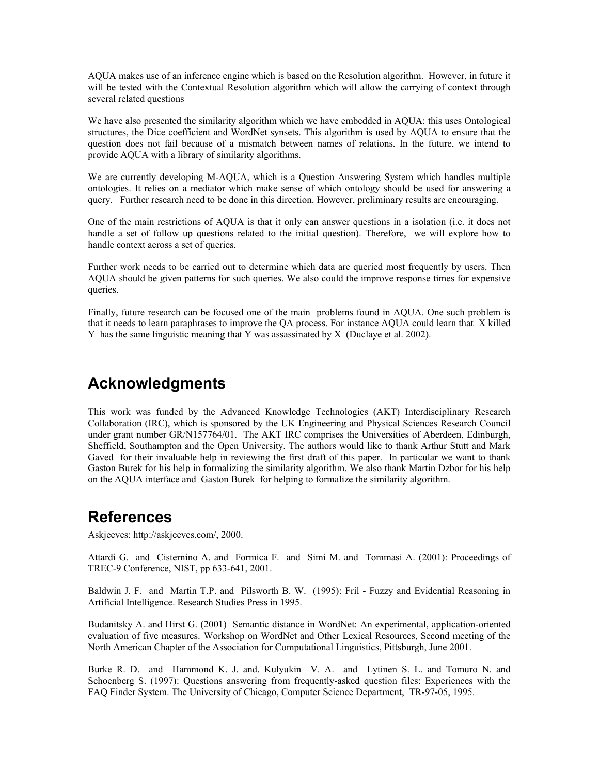AQUA makes use of an inference engine which is based on the Resolution algorithm. However, in future it will be tested with the Contextual Resolution algorithm which will allow the carrying of context through several related questions

We have also presented the similarity algorithm which we have embedded in AQUA: this uses Ontological structures, the Dice coefficient and WordNet synsets. This algorithm is used by AQUA to ensure that the question does not fail because of a mismatch between names of relations. In the future, we intend to provide AQUA with a library of similarity algorithms.

We are currently developing M-AQUA, which is a Question Answering System which handles multiple ontologies. It relies on a mediator which make sense of which ontology should be used for answering a query. Further research need to be done in this direction. However, preliminary results are encouraging.

One of the main restrictions of AQUA is that it only can answer questions in a isolation (i.e. it does not handle a set of follow up questions related to the initial question). Therefore, we will explore how to handle context across a set of queries.

Further work needs to be carried out to determine which data are queried most frequently by users. Then AQUA should be given patterns for such queries. We also could the improve response times for expensive queries.

Finally, future research can be focused one of the main problems found in AQUA. One such problem is that it needs to learn paraphrases to improve the QA process. For instance AQUA could learn that X killed Y has the same linguistic meaning that Y was assassinated by X (Duclaye et al. 2002).

# **Acknowledgments**

This work was funded by the Advanced Knowledge Technologies (AKT) Interdisciplinary Research Collaboration (IRC), which is sponsored by the UK Engineering and Physical Sciences Research Council under grant number GR/N157764/01. The AKT IRC comprises the Universities of Aberdeen, Edinburgh, Sheffield, Southampton and the Open University. The authors would like to thank Arthur Stutt and Mark Gaved for their invaluable help in reviewing the first draft of this paper. In particular we want to thank Gaston Burek for his help in formalizing the similarity algorithm. We also thank Martin Dzbor for his help on the AQUA interface and Gaston Burek for helping to formalize the similarity algorithm.

# **References**

Askjeeves: http://askjeeves.com/, 2000.

Attardi G. and Cisternino A. and Formica F. and Simi M. and Tommasi A. (2001): Proceedings of TREC-9 Conference, NIST, pp 633-641, 2001.

Baldwin J. F. and Martin T.P. and Pilsworth B. W. (1995): Fril - Fuzzy and Evidential Reasoning in Artificial Intelligence. Research Studies Press in 1995.

Budanitsky A. and Hirst G. (2001) Semantic distance in WordNet: An experimental, application-oriented evaluation of five measures. Workshop on WordNet and Other Lexical Resources, Second meeting of the North American Chapter of the Association for Computational Linguistics, Pittsburgh, June 2001.

Burke R. D. and Hammond K. J. and. Kulyukin V. A. and Lytinen S. L. and Tomuro N. and Schoenberg S. (1997): Questions answering from frequently-asked question files: Experiences with the FAQ Finder System. The University of Chicago, Computer Science Department, TR-97-05, 1995.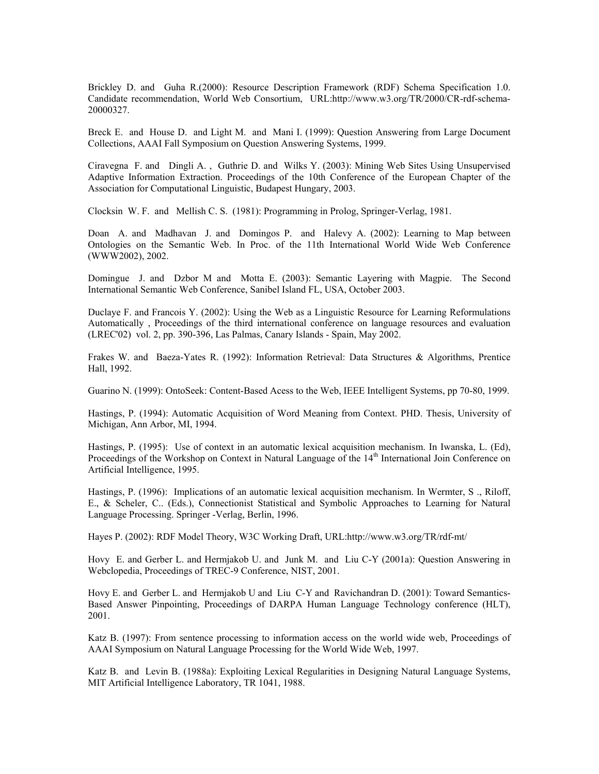Brickley D. and Guha R.(2000): Resource Description Framework (RDF) Schema Specification 1.0. Candidate recommendation, World Web Consortium, URL:http://www.w3.org/TR/2000/CR-rdf-schema-20000327.

Breck E. and House D. and Light M. and Mani I. (1999): Question Answering from Large Document Collections, AAAI Fall Symposium on Question Answering Systems, 1999.

Ciravegna F. and Dingli A. , Guthrie D. and Wilks Y. (2003): Mining Web Sites Using Unsupervised Adaptive Information Extraction. Proceedings of the 10th Conference of the European Chapter of the Association for Computational Linguistic, Budapest Hungary, 2003.

Clocksin W. F. and Mellish C. S. (1981): Programming in Prolog, Springer-Verlag, 1981.

Doan A. and Madhavan J. and Domingos P. and Halevy A. (2002): Learning to Map between Ontologies on the Semantic Web. In Proc. of the 11th International World Wide Web Conference (WWW2002), 2002.

Domingue J. and Dzbor M and Motta E. (2003): Semantic Layering with Magpie. The Second International Semantic Web Conference, Sanibel Island FL, USA, October 2003.

Duclaye F. and Francois Y. (2002): Using the Web as a Linguistic Resource for Learning Reformulations Automatically , Proceedings of the third international conference on language resources and evaluation (LREC'02) vol. 2, pp. 390-396, Las Palmas, Canary Islands - Spain, May 2002.

Frakes W. and Baeza-Yates R. (1992): Information Retrieval: Data Structures & Algorithms, Prentice Hall, 1992.

Guarino N. (1999): OntoSeek: Content-Based Acess to the Web, IEEE Intelligent Systems, pp 70-80, 1999.

Hastings, P. (1994): Automatic Acquisition of Word Meaning from Context. PHD. Thesis, University of Michigan, Ann Arbor, MI, 1994.

Hastings, P. (1995): Use of context in an automatic lexical acquisition mechanism. In Iwanska, L. (Ed), Proceedings of the Workshop on Context in Natural Language of the 14<sup>th</sup> International Join Conference on Artificial Intelligence, 1995.

Hastings, P. (1996): Implications of an automatic lexical acquisition mechanism. In Wermter, S ., Riloff, E., & Scheler, C.. (Eds.), Connectionist Statistical and Symbolic Approaches to Learning for Natural Language Processing. Springer -Verlag, Berlin, 1996.

Hayes P. (2002): RDF Model Theory, W3C Working Draft, URL:http://www.w3.org/TR/rdf-mt/

Hovy E. and Gerber L. and Hermjakob U. and Junk M. and Liu C-Y (2001a): Question Answering in Webclopedia, Proceedings of TREC-9 Conference, NIST, 2001.

Hovy E. and Gerber L. and Hermjakob U and Liu C-Y and Ravichandran D. (2001): Toward Semantics-Based Answer Pinpointing, Proceedings of DARPA Human Language Technology conference (HLT), 2001.

Katz B. (1997): From sentence processing to information access on the world wide web, Proceedings of AAAI Symposium on Natural Language Processing for the World Wide Web, 1997.

Katz B. and Levin B. (1988a): Exploiting Lexical Regularities in Designing Natural Language Systems, MIT Artificial Intelligence Laboratory, TR 1041, 1988.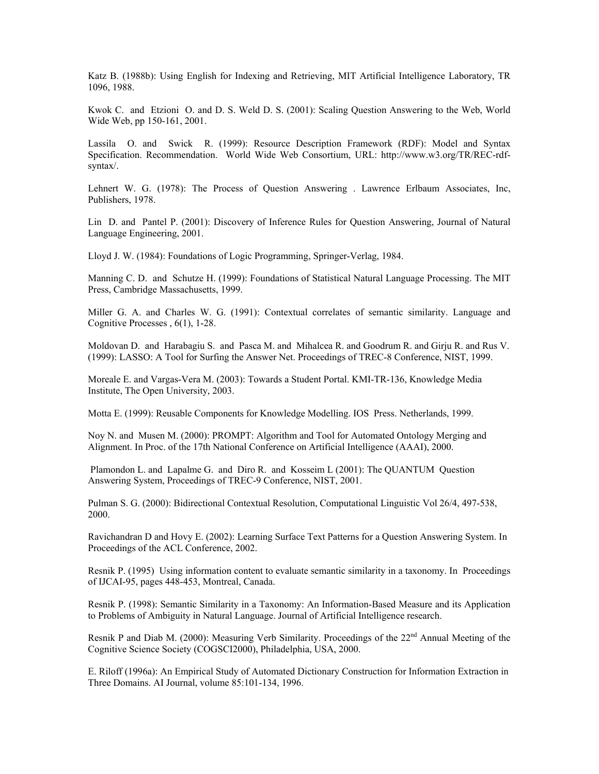Katz B. (1988b): Using English for Indexing and Retrieving, MIT Artificial Intelligence Laboratory, TR 1096, 1988.

Kwok C. and Etzioni O. and D. S. Weld D. S. (2001): Scaling Question Answering to the Web, World Wide Web, pp 150-161, 2001.

Lassila O. and Swick R. (1999): Resource Description Framework (RDF): Model and Syntax Specification. Recommendation. World Wide Web Consortium, URL: http://www.w3.org/TR/REC-rdfsyntax/.

Lehnert W. G. (1978): The Process of Question Answering . Lawrence Erlbaum Associates, Inc, Publishers, 1978.

Lin D. and Pantel P. (2001): Discovery of Inference Rules for Question Answering, Journal of Natural Language Engineering, 2001.

Lloyd J. W. (1984): Foundations of Logic Programming, Springer-Verlag, 1984.

Manning C. D. and Schutze H. (1999): Foundations of Statistical Natural Language Processing. The MIT Press, Cambridge Massachusetts, 1999.

Miller G. A. and Charles W. G. (1991): Contextual correlates of semantic similarity. Language and Cognitive Processes , 6(1), 1-28.

Moldovan D. and Harabagiu S. and Pasca M. and Mihalcea R. and Goodrum R. and Girju R. and Rus V. (1999): LASSO: A Tool for Surfing the Answer Net. Proceedings of TREC-8 Conference, NIST, 1999.

Moreale E. and Vargas-Vera M. (2003): Towards a Student Portal. KMI-TR-136, Knowledge Media Institute, The Open University, 2003.

Motta E. (1999): Reusable Components for Knowledge Modelling. IOS Press. Netherlands, 1999.

Noy N. and Musen M. (2000): PROMPT: Algorithm and Tool for Automated Ontology Merging and Alignment. In Proc. of the 17th National Conference on Artificial Intelligence (AAAI), 2000.

 Plamondon L. and Lapalme G. and Diro R. and Kosseim L (2001): The QUANTUM Question Answering System, Proceedings of TREC-9 Conference, NIST, 2001.

Pulman S. G. (2000): Bidirectional Contextual Resolution, Computational Linguistic Vol 26/4, 497-538, 2000.

Ravichandran D and Hovy E. (2002): Learning Surface Text Patterns for a Question Answering System. In Proceedings of the ACL Conference, 2002.

Resnik P. (1995) Using information content to evaluate semantic similarity in a taxonomy. In Proceedings of IJCAI-95, pages 448-453, Montreal, Canada.

Resnik P. (1998): Semantic Similarity in a Taxonomy: An Information-Based Measure and its Application to Problems of Ambiguity in Natural Language. Journal of Artificial Intelligence research.

Resnik P and Diab M. (2000): Measuring Verb Similarity. Proceedings of the 22<sup>nd</sup> Annual Meeting of the Cognitive Science Society (COGSCI2000), Philadelphia, USA, 2000.

E. Riloff (1996a): An Empirical Study of Automated Dictionary Construction for Information Extraction in Three Domains. AI Journal, volume 85:101-134, 1996.